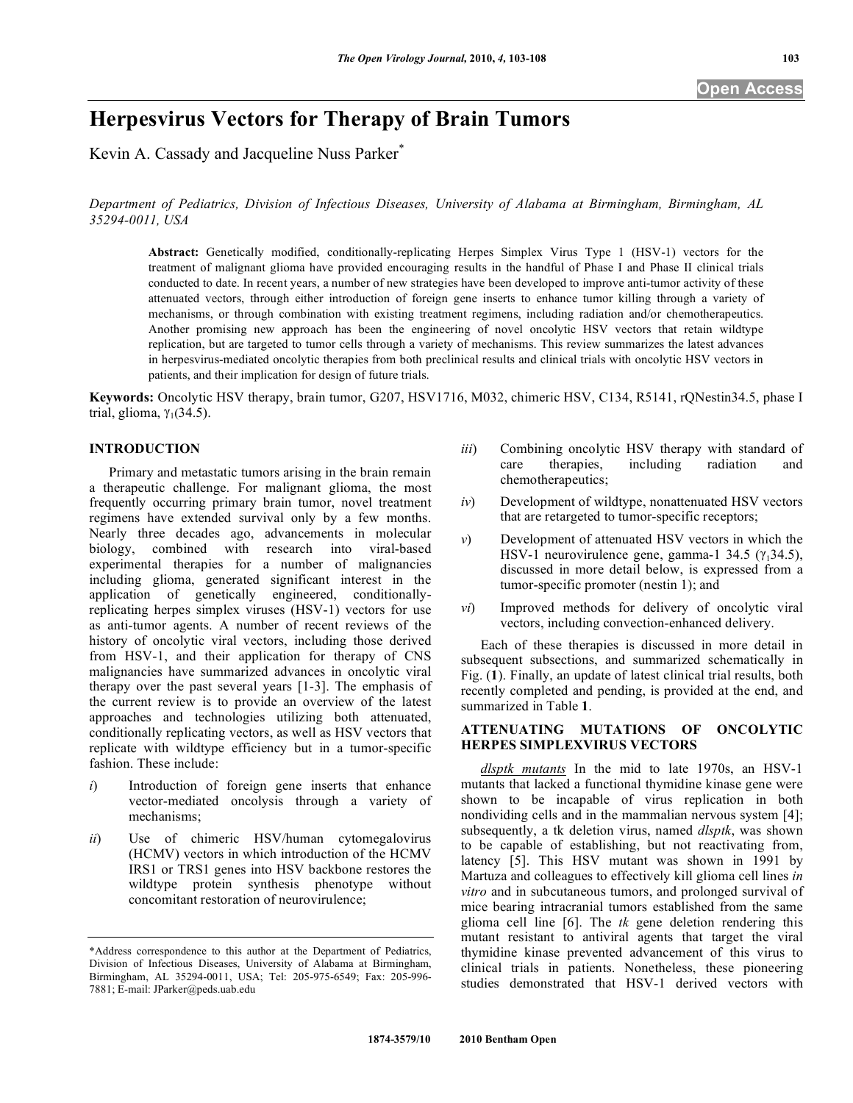# **Herpesvirus Vectors for Therapy of Brain Tumors**

Kevin A. Cassady and Jacqueline Nuss Parker<sup>\*</sup>

*Department of Pediatrics, Division of Infectious Diseases, University of Alabama at Birmingham, Birmingham, AL 35294-0011, USA* 

**Abstract:** Genetically modified, conditionally-replicating Herpes Simplex Virus Type 1 (HSV-1) vectors for the treatment of malignant glioma have provided encouraging results in the handful of Phase I and Phase II clinical trials conducted to date. In recent years, a number of new strategies have been developed to improve anti-tumor activity of these attenuated vectors, through either introduction of foreign gene inserts to enhance tumor killing through a variety of mechanisms, or through combination with existing treatment regimens, including radiation and/or chemotherapeutics. Another promising new approach has been the engineering of novel oncolytic HSV vectors that retain wildtype replication, but are targeted to tumor cells through a variety of mechanisms. This review summarizes the latest advances in herpesvirus-mediated oncolytic therapies from both preclinical results and clinical trials with oncolytic HSV vectors in patients, and their implication for design of future trials.

**Keywords:** Oncolytic HSV therapy, brain tumor, G207, HSV1716, M032, chimeric HSV, C134, R5141, rQNestin34.5, phase I trial, glioma,  $\gamma_1(34.5)$ .

## **INTRODUCTION**

 Primary and metastatic tumors arising in the brain remain a therapeutic challenge. For malignant glioma, the most frequently occurring primary brain tumor, novel treatment regimens have extended survival only by a few months. Nearly three decades ago, advancements in molecular biology, combined with research into viral-based experimental therapies for a number of malignancies including glioma, generated significant interest in the application of genetically engineered, conditionallyreplicating herpes simplex viruses (HSV-1) vectors for use as anti-tumor agents. A number of recent reviews of the history of oncolytic viral vectors, including those derived from HSV-1, and their application for therapy of CNS malignancies have summarized advances in oncolytic viral therapy over the past several years [1-3]. The emphasis of the current review is to provide an overview of the latest approaches and technologies utilizing both attenuated, conditionally replicating vectors, as well as HSV vectors that replicate with wildtype efficiency but in a tumor-specific fashion. These include:

- *i*) Introduction of foreign gene inserts that enhance vector-mediated oncolysis through a variety of mechanisms;
- *ii*) Use of chimeric HSV/human cytomegalovirus (HCMV) vectors in which introduction of the HCMV IRS1 or TRS1 genes into HSV backbone restores the wildtype protein synthesis phenotype without concomitant restoration of neurovirulence;
- *iii*) Combining oncolytic HSV therapy with standard of care therapies, including radiation and chemotherapeutics;
- *iv*) Development of wildtype, nonattenuated HSV vectors that are retargeted to tumor-specific receptors;
- *v*) Development of attenuated HSV vectors in which the HSV-1 neurovirulence gene, gamma-1 34.5  $(\gamma_1$ 34.5), discussed in more detail below, is expressed from a tumor-specific promoter (nestin 1); and
- *vi*) Improved methods for delivery of oncolytic viral vectors, including convection-enhanced delivery.

 Each of these therapies is discussed in more detail in subsequent subsections, and summarized schematically in Fig. (**1**). Finally, an update of latest clinical trial results, both recently completed and pending, is provided at the end, and summarized in Table **1**.

## **ATTENUATING MUTATIONS OF ONCOLYTIC HERPES SIMPLEXVIRUS VECTORS**

*dlsptk mutants* In the mid to late 1970s, an HSV-1 mutants that lacked a functional thymidine kinase gene were shown to be incapable of virus replication in both nondividing cells and in the mammalian nervous system [4]; subsequently, a tk deletion virus, named *dlsptk*, was shown to be capable of establishing, but not reactivating from, latency [5]. This HSV mutant was shown in 1991 by Martuza and colleagues to effectively kill glioma cell lines *in vitro* and in subcutaneous tumors, and prolonged survival of mice bearing intracranial tumors established from the same glioma cell line [6]. The *tk* gene deletion rendering this mutant resistant to antiviral agents that target the viral thymidine kinase prevented advancement of this virus to clinical trials in patients. Nonetheless, these pioneering studies demonstrated that HSV-1 derived vectors with

<sup>\*</sup>Address correspondence to this author at the Department of Pediatrics, Division of Infectious Diseases, University of Alabama at Birmingham, Birmingham, AL 35294-0011, USA; Tel: 205-975-6549; Fax: 205-996- 7881; E-mail: JParker@peds.uab.edu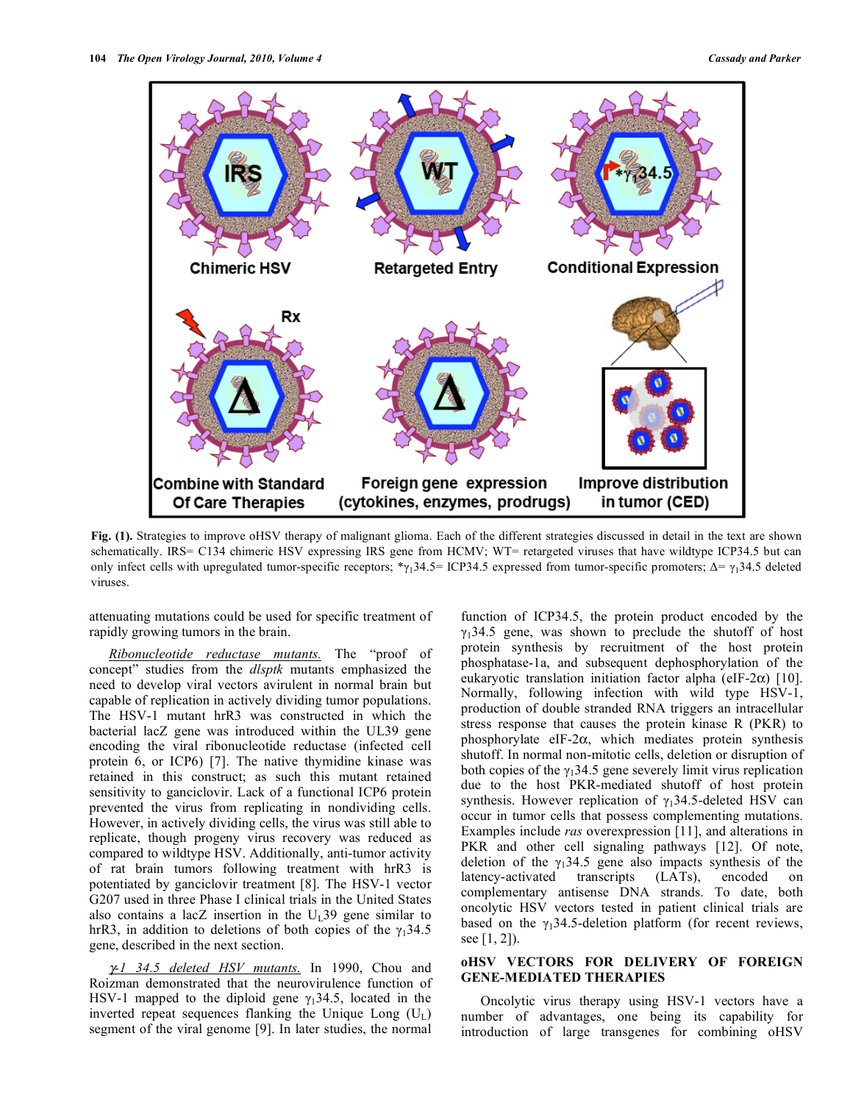

**Fig. (1).** Strategies to improve oHSV therapy of malignant glioma. Each of the different strategies discussed in detail in the text are shown schematically. IRS= C134 chimeric HSV expressing IRS gene from HCMV; WT= retargeted viruses that have wildtype ICP34.5 but can only infect cells with upregulated tumor-specific receptors;  $\gamma_1$ 34.5 = ICP34.5 expressed from tumor-specific promoters;  $\Delta = \gamma_1$ 34.5 deleted viruses.

attenuating mutations could be used for specific treatment of rapidly growing tumors in the brain.

 *Ribonucleotide reductase mutants.* The "proof of concept" studies from the *dlsptk* mutants emphasized the need to develop viral vectors avirulent in normal brain but capable of replication in actively dividing tumor populations. The HSV-1 mutant hrR3 was constructed in which the bacterial lacZ gene was introduced within the UL39 gene encoding the viral ribonucleotide reductase (infected cell protein 6, or ICP6) [7]. The native thymidine kinase was retained in this construct; as such this mutant retained sensitivity to ganciclovir. Lack of a functional ICP6 protein prevented the virus from replicating in nondividing cells. However, in actively dividing cells, the virus was still able to replicate, though progeny virus recovery was reduced as compared to wildtype HSV. Additionally, anti-tumor activity of rat brain tumors following treatment with hrR3 is potentiated by ganciclovir treatment [8]. The HSV-1 vector G207 used in three Phase I clinical trials in the United States also contains a lacZ insertion in the  $U_{I}39$  gene similar to hrR3, in addition to deletions of both copies of the  $\gamma_1$ 34.5 gene, described in the next section.

*-1 34.5 deleted HSV mutants.* In 1990, Chou and Roizman demonstrated that the neurovirulence function of HSV-1 mapped to the diploid gene  $\gamma_1$ 34.5, located in the inverted repeat sequences flanking the Unique Long  $(U_L)$ segment of the viral genome [9]. In later studies, the normal

function of ICP34.5, the protein product encoded by the  $\gamma_1$ 34.5 gene, was shown to preclude the shutoff of host protein synthesis by recruitment of the host protein phosphatase-1a, and subsequent dephosphorylation of the eukaryotic translation initiation factor alpha (eIF-2 $\alpha$ ) [10]. Normally, following infection with wild type HSV-1, production of double stranded RNA triggers an intracellular stress response that causes the protein kinase R (PKR) to phosphorylate eIF-2 $\alpha$ , which mediates protein synthesis shutoff. In normal non-mitotic cells, deletion or disruption of both copies of the  $\gamma_1$ 34.5 gene severely limit virus replication due to the host PKR-mediated shutoff of host protein synthesis. However replication of  $\gamma_1$ 34.5-deleted HSV can occur in tumor cells that possess complementing mutations. Examples include *ras* overexpression [11], and alterations in PKR and other cell signaling pathways [12]. Of note, deletion of the  $\gamma_1$ 34.5 gene also impacts synthesis of the latency-activated transcripts (LATs), encoded on complementary antisense DNA strands. To date, both oncolytic HSV vectors tested in patient clinical trials are based on the  $\gamma_1$ 34.5-deletion platform (for recent reviews, see [1, 2]).

## **oHSV VECTORS FOR DELIVERY OF FOREIGN GENE-MEDIATED THERAPIES**

 Oncolytic virus therapy using HSV-1 vectors have a number of advantages, one being its capability for introduction of large transgenes for combining oHSV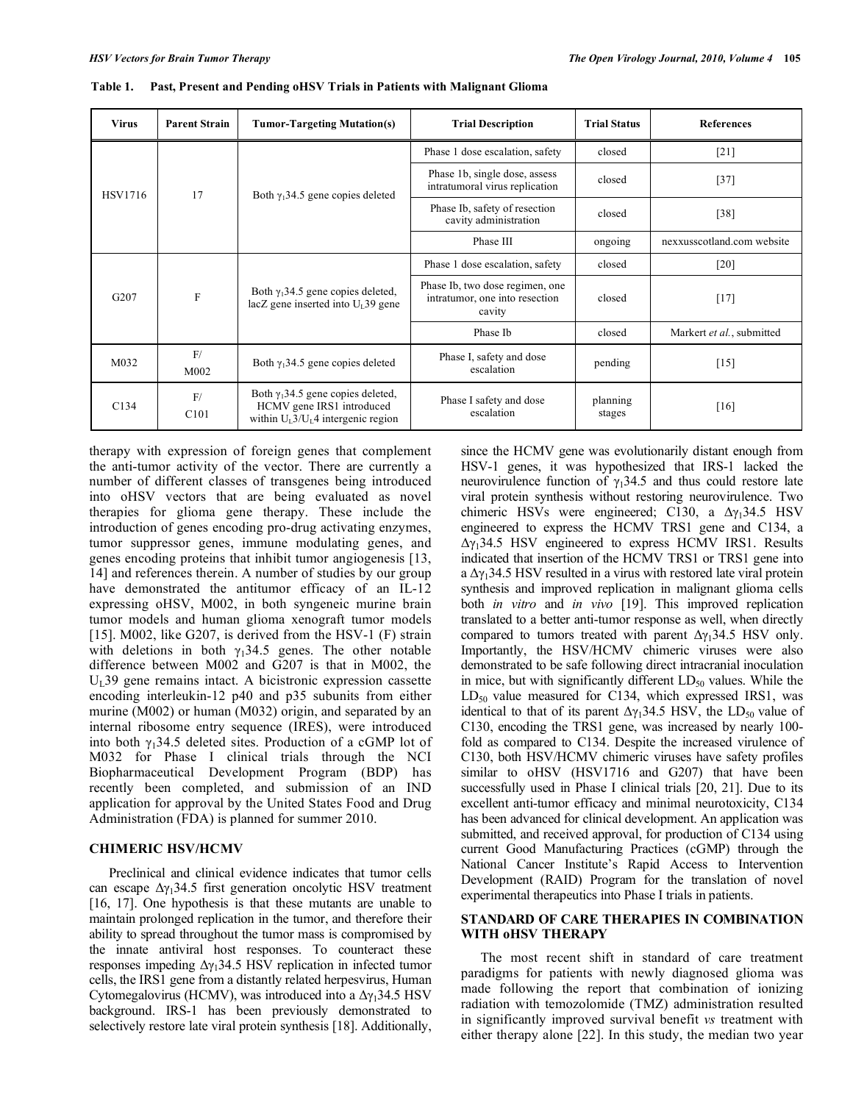| <b>Virus</b>   | <b>Parent Strain</b>   | <b>Tumor-Targeting Mutation(s)</b>                                                                                          | <b>Trial Description</b>                                                    | <b>Trial Status</b> | <b>References</b>          |
|----------------|------------------------|-----------------------------------------------------------------------------------------------------------------------------|-----------------------------------------------------------------------------|---------------------|----------------------------|
| <b>HSV1716</b> | 17                     | Both $\gamma_1$ 34.5 gene copies deleted                                                                                    | Phase 1 dose escalation, safety                                             | closed              | $[21]$                     |
|                |                        |                                                                                                                             | Phase 1b, single dose, assess<br>intratumoral virus replication             | closed              | $[37]$                     |
|                |                        |                                                                                                                             | Phase Ib, safety of resection<br>cavity administration                      | closed              | $[38]$                     |
|                |                        |                                                                                                                             | Phase III                                                                   | ongoing             | nexxusscotland.com website |
| G207           | $\mathbf F$            | Both $\gamma_1$ 34.5 gene copies deleted,<br>$lacZ$ gene inserted into $UI$ 39 gene                                         | Phase 1 dose escalation, safety                                             | closed              | [20]                       |
|                |                        |                                                                                                                             | Phase Ib, two dose regimen, one<br>intratumor, one into resection<br>cavity | closed              | $[17]$                     |
|                |                        |                                                                                                                             | Phase Ib                                                                    | closed              | Markert et al., submitted  |
| M032           | F/<br>M002             | Both $\gamma_1$ 34.5 gene copies deleted                                                                                    | Phase I, safety and dose<br>escalation                                      | pending             | $[15]$                     |
| C134           | F/<br>C <sub>101</sub> | Both $\gamma_1$ 34.5 gene copies deleted,<br>HCMV gene IRS1 introduced<br>within $U_L$ 3/U <sub>L</sub> 4 intergenic region | Phase I safety and dose<br>escalation                                       | planning<br>stages  | [16]                       |

**Table 1. Past, Present and Pending oHSV Trials in Patients with Malignant Glioma** 

therapy with expression of foreign genes that complement the anti-tumor activity of the vector. There are currently a number of different classes of transgenes being introduced into oHSV vectors that are being evaluated as novel therapies for glioma gene therapy. These include the introduction of genes encoding pro-drug activating enzymes, tumor suppressor genes, immune modulating genes, and genes encoding proteins that inhibit tumor angiogenesis [13, 14] and references therein. A number of studies by our group have demonstrated the antitumor efficacy of an IL-12 expressing oHSV, M002, in both syngeneic murine brain tumor models and human glioma xenograft tumor models [15]. M002, like G207, is derived from the HSV-1 (F) strain with deletions in both  $\gamma_1$ 34.5 genes. The other notable difference between M002 and G207 is that in M002, the  $U<sub>I</sub>$ 39 gene remains intact. A bicistronic expression cassette encoding interleukin-12 p40 and p35 subunits from either murine (M002) or human (M032) origin, and separated by an internal ribosome entry sequence (IRES), were introduced into both  $\gamma_1$ 34.5 deleted sites. Production of a cGMP lot of M032 for Phase I clinical trials through the NCI Biopharmaceutical Development Program (BDP) has recently been completed, and submission of an IND application for approval by the United States Food and Drug Administration (FDA) is planned for summer 2010.

#### **CHIMERIC HSV/HCMV**

 Preclinical and clinical evidence indicates that tumor cells can escape  $\Delta \gamma_1$ 34.5 first generation oncolytic HSV treatment [16, 17]. One hypothesis is that these mutants are unable to maintain prolonged replication in the tumor, and therefore their ability to spread throughout the tumor mass is compromised by the innate antiviral host responses. To counteract these responses impeding  $\Delta \gamma_1$ 34.5 HSV replication in infected tumor cells, the IRS1 gene from a distantly related herpesvirus, Human Cytomegalovirus (HCMV), was introduced into a  $\Delta \gamma_1$ 34.5 HSV background. IRS-1 has been previously demonstrated to selectively restore late viral protein synthesis [18]. Additionally,

since the HCMV gene was evolutionarily distant enough from HSV-1 genes, it was hypothesized that IRS-1 lacked the neurovirulence function of  $\gamma_1$ 34.5 and thus could restore late viral protein synthesis without restoring neurovirulence. Two chimeric HSVs were engineered; C130, a  $\Delta\gamma_1$ 34.5 HSV engineered to express the HCMV TRS1 gene and C134, a  $\Delta\gamma_1$ 34.5 HSV engineered to express HCMV IRS1. Results indicated that insertion of the HCMV TRS1 or TRS1 gene into a  $\Delta\gamma_1$ 34.5 HSV resulted in a virus with restored late viral protein synthesis and improved replication in malignant glioma cells both *in vitro* and *in vivo* [19]. This improved replication translated to a better anti-tumor response as well, when directly compared to tumors treated with parent  $\Delta \gamma_1$ 34.5 HSV only. Importantly, the HSV/HCMV chimeric viruses were also demonstrated to be safe following direct intracranial inoculation in mice, but with significantly different  $LD_{50}$  values. While the  $LD_{50}$  value measured for C134, which expressed IRS1, was identical to that of its parent  $\Delta y_1$ 34.5 HSV, the LD<sub>50</sub> value of C130, encoding the TRS1 gene, was increased by nearly 100 fold as compared to C134. Despite the increased virulence of C130, both HSV/HCMV chimeric viruses have safety profiles similar to oHSV (HSV1716 and G207) that have been successfully used in Phase I clinical trials [20, 21]. Due to its excellent anti-tumor efficacy and minimal neurotoxicity, C134 has been advanced for clinical development. An application was submitted, and received approval, for production of C134 using current Good Manufacturing Practices (cGMP) through the National Cancer Institute's Rapid Access to Intervention Development (RAID) Program for the translation of novel experimental therapeutics into Phase I trials in patients.

## **STANDARD OF CARE THERAPIES IN COMBINATION WITH oHSV THERAPY**

 The most recent shift in standard of care treatment paradigms for patients with newly diagnosed glioma was made following the report that combination of ionizing radiation with temozolomide (TMZ) administration resulted in significantly improved survival benefit *vs* treatment with either therapy alone [22]. In this study, the median two year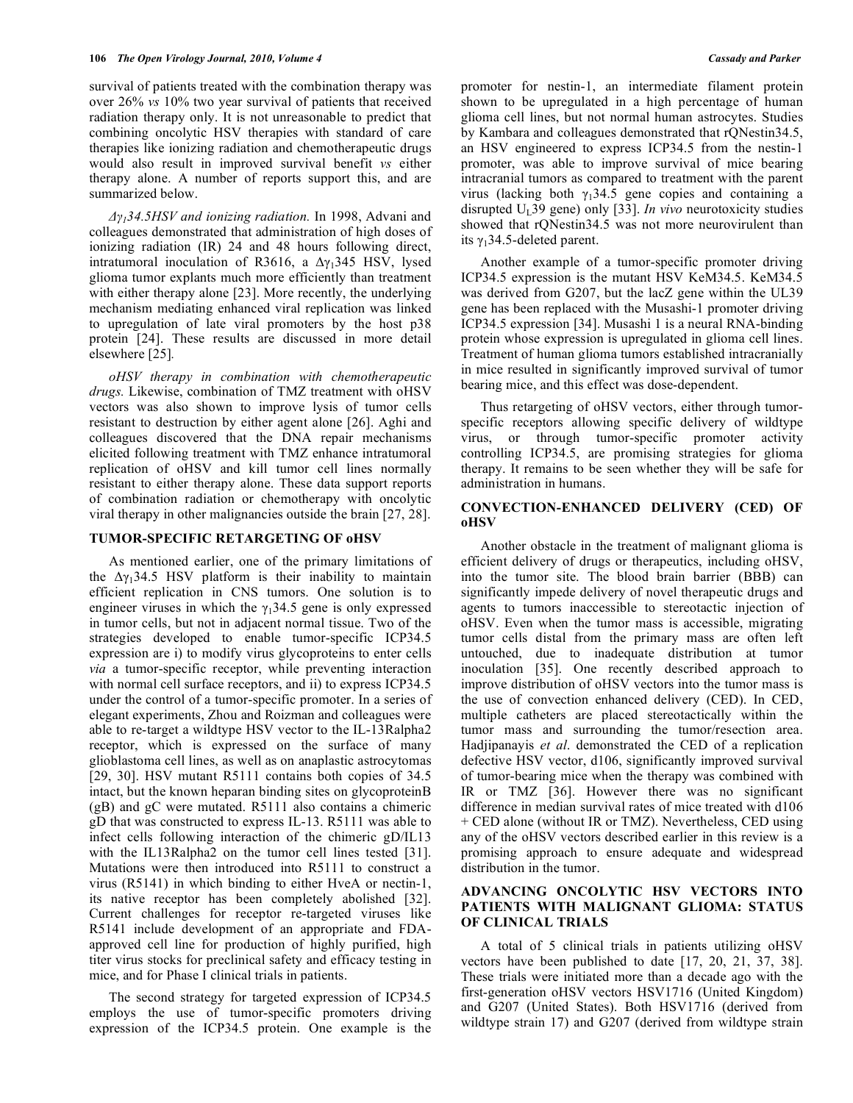survival of patients treated with the combination therapy was over 26% *vs* 10% two year survival of patients that received radiation therapy only. It is not unreasonable to predict that combining oncolytic HSV therapies with standard of care therapies like ionizing radiation and chemotherapeutic drugs would also result in improved survival benefit *vs* either therapy alone. A number of reports support this, and are summarized below.

*-134.5HSV and ionizing radiation.* In 1998, Advani and colleagues demonstrated that administration of high doses of ionizing radiation (IR) 24 and 48 hours following direct, intratumoral inoculation of R3616, a  $\Delta\gamma_1$ 345 HSV, lysed glioma tumor explants much more efficiently than treatment with either therapy alone [23]. More recently, the underlying mechanism mediating enhanced viral replication was linked to upregulation of late viral promoters by the host p38 protein [24]. These results are discussed in more detail elsewhere [25]*.*

 *oHSV therapy in combination with chemotherapeutic drugs.* Likewise, combination of TMZ treatment with oHSV vectors was also shown to improve lysis of tumor cells resistant to destruction by either agent alone [26]. Aghi and colleagues discovered that the DNA repair mechanisms elicited following treatment with TMZ enhance intratumoral replication of oHSV and kill tumor cell lines normally resistant to either therapy alone. These data support reports of combination radiation or chemotherapy with oncolytic viral therapy in other malignancies outside the brain [27, 28].

#### **TUMOR-SPECIFIC RETARGETING OF oHSV**

 As mentioned earlier, one of the primary limitations of the  $\Delta \gamma_1$ 34.5 HSV platform is their inability to maintain efficient replication in CNS tumors. One solution is to engineer viruses in which the  $\gamma_1$ 34.5 gene is only expressed in tumor cells, but not in adjacent normal tissue. Two of the strategies developed to enable tumor-specific ICP34.5 expression are i) to modify virus glycoproteins to enter cells *via* a tumor-specific receptor, while preventing interaction with normal cell surface receptors, and ii) to express ICP34.5 under the control of a tumor-specific promoter. In a series of elegant experiments, Zhou and Roizman and colleagues were able to re-target a wildtype HSV vector to the IL-13Ralpha2 receptor, which is expressed on the surface of many glioblastoma cell lines, as well as on anaplastic astrocytomas [29, 30]. HSV mutant R5111 contains both copies of 34.5 intact, but the known heparan binding sites on glycoproteinB (gB) and gC were mutated. R5111 also contains a chimeric gD that was constructed to express IL-13. R5111 was able to infect cells following interaction of the chimeric gD/IL13 with the IL13Ralpha2 on the tumor cell lines tested [31]. Mutations were then introduced into R5111 to construct a virus (R5141) in which binding to either HveA or nectin-1, its native receptor has been completely abolished [32]. Current challenges for receptor re-targeted viruses like R5141 include development of an appropriate and FDAapproved cell line for production of highly purified, high titer virus stocks for preclinical safety and efficacy testing in mice, and for Phase I clinical trials in patients.

 The second strategy for targeted expression of ICP34.5 employs the use of tumor-specific promoters driving expression of the ICP34.5 protein. One example is the promoter for nestin-1, an intermediate filament protein shown to be upregulated in a high percentage of human glioma cell lines, but not normal human astrocytes. Studies by Kambara and colleagues demonstrated that rQNestin34.5, an HSV engineered to express ICP34.5 from the nestin-1 promoter, was able to improve survival of mice bearing intracranial tumors as compared to treatment with the parent virus (lacking both  $\gamma_1$ 34.5 gene copies and containing a disrupted  $U_{I}$ 39 gene) only [33]. *In vivo* neurotoxicity studies showed that rONestin34.5 was not more neurovirulent than its  $\gamma_1$ 34.5-deleted parent.

 Another example of a tumor-specific promoter driving ICP34.5 expression is the mutant HSV KeM34.5. KeM34.5 was derived from G207, but the lacZ gene within the UL39 gene has been replaced with the Musashi-1 promoter driving ICP34.5 expression [34]. Musashi 1 is a neural RNA-binding protein whose expression is upregulated in glioma cell lines. Treatment of human glioma tumors established intracranially in mice resulted in significantly improved survival of tumor bearing mice, and this effect was dose-dependent.

 Thus retargeting of oHSV vectors, either through tumorspecific receptors allowing specific delivery of wildtype virus, or through tumor-specific promoter activity controlling ICP34.5, are promising strategies for glioma therapy. It remains to be seen whether they will be safe for administration in humans.

## **CONVECTION-ENHANCED DELIVERY (CED) OF oHSV**

 Another obstacle in the treatment of malignant glioma is efficient delivery of drugs or therapeutics, including oHSV, into the tumor site. The blood brain barrier (BBB) can significantly impede delivery of novel therapeutic drugs and agents to tumors inaccessible to stereotactic injection of oHSV. Even when the tumor mass is accessible, migrating tumor cells distal from the primary mass are often left untouched, due to inadequate distribution at tumor inoculation [35]. One recently described approach to improve distribution of oHSV vectors into the tumor mass is the use of convection enhanced delivery (CED). In CED, multiple catheters are placed stereotactically within the tumor mass and surrounding the tumor/resection area. Hadjipanayis *et al*. demonstrated the CED of a replication defective HSV vector, d106, significantly improved survival of tumor-bearing mice when the therapy was combined with IR or TMZ [36]. However there was no significant difference in median survival rates of mice treated with d106 + CED alone (without IR or TMZ). Nevertheless, CED using any of the oHSV vectors described earlier in this review is a promising approach to ensure adequate and widespread distribution in the tumor.

## **ADVANCING ONCOLYTIC HSV VECTORS INTO PATIENTS WITH MALIGNANT GLIOMA: STATUS OF CLINICAL TRIALS**

 A total of 5 clinical trials in patients utilizing oHSV vectors have been published to date [17, 20, 21, 37, 38]. These trials were initiated more than a decade ago with the first-generation oHSV vectors HSV1716 (United Kingdom) and G207 (United States). Both HSV1716 (derived from wildtype strain 17) and G207 (derived from wildtype strain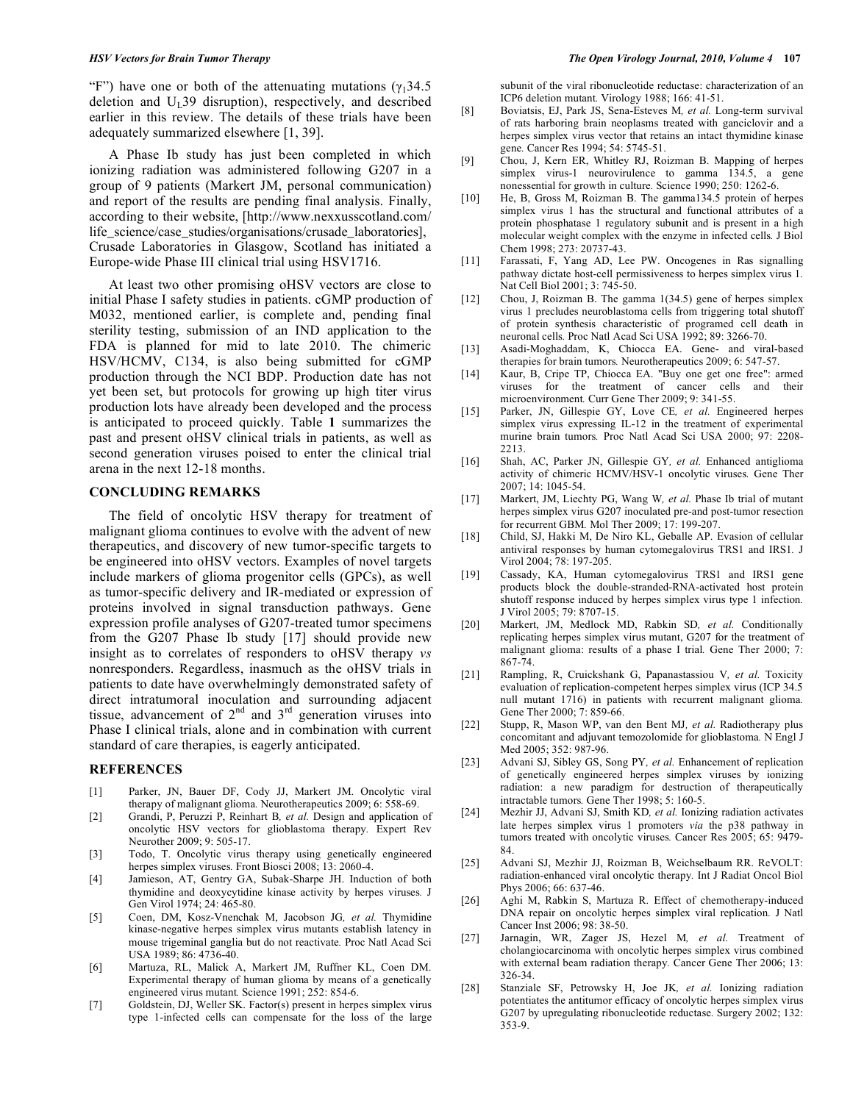"F") have one or both of the attenuating mutations ( $\gamma_1$ 34.5 deletion and  $U_1$ 39 disruption), respectively, and described earlier in this review. The details of these trials have been adequately summarized elsewhere [1, 39].

 A Phase Ib study has just been completed in which ionizing radiation was administered following G207 in a group of 9 patients (Markert JM, personal communication) and report of the results are pending final analysis. Finally, according to their website, [http://www.nexxusscotland.com/ life\_science/case\_studies/organisations/crusade\_laboratories], Crusade Laboratories in Glasgow, Scotland has initiated a Europe-wide Phase III clinical trial using HSV1716.

 At least two other promising oHSV vectors are close to initial Phase I safety studies in patients. cGMP production of M032, mentioned earlier, is complete and, pending final sterility testing, submission of an IND application to the FDA is planned for mid to late 2010. The chimeric HSV/HCMV, C134, is also being submitted for cGMP production through the NCI BDP. Production date has not yet been set, but protocols for growing up high titer virus production lots have already been developed and the process is anticipated to proceed quickly. Table **1** summarizes the past and present oHSV clinical trials in patients, as well as second generation viruses poised to enter the clinical trial arena in the next 12-18 months.

#### **CONCLUDING REMARKS**

 The field of oncolytic HSV therapy for treatment of malignant glioma continues to evolve with the advent of new therapeutics, and discovery of new tumor-specific targets to be engineered into oHSV vectors. Examples of novel targets include markers of glioma progenitor cells (GPCs), as well as tumor-specific delivery and IR-mediated or expression of proteins involved in signal transduction pathways. Gene expression profile analyses of G207-treated tumor specimens from the G207 Phase Ib study [17] should provide new insight as to correlates of responders to oHSV therapy *vs* nonresponders. Regardless, inasmuch as the oHSV trials in patients to date have overwhelmingly demonstrated safety of direct intratumoral inoculation and surrounding adjacent tissue, advancement of  $2<sup>nd</sup>$  and  $3<sup>rd</sup>$  generation viruses into Phase I clinical trials, alone and in combination with current standard of care therapies, is eagerly anticipated.

### **REFERENCES**

- [1] Parker, JN, Bauer DF, Cody JJ, Markert JM. Oncolytic viral therapy of malignant glioma*.* Neurotherapeutics 2009; 6: 558-69.
- [2] Grandi, P, Peruzzi P, Reinhart B*, et al.* Design and application of oncolytic HSV vectors for glioblastoma therapy*.* Expert Rev Neurother 2009; 9: 505-17.
- [3] Todo, T. Oncolytic virus therapy using genetically engineered herpes simplex viruses*.* Front Biosci 2008; 13: 2060-4.
- [4] Jamieson, AT, Gentry GA, Subak-Sharpe JH. Induction of both thymidine and deoxycytidine kinase activity by herpes viruses*.* J Gen Virol 1974; 24: 465-80.
- [5] Coen, DM, Kosz-Vnenchak M, Jacobson JG*, et al.* Thymidine kinase-negative herpes simplex virus mutants establish latency in mouse trigeminal ganglia but do not reactivate*.* Proc Natl Acad Sci USA 1989; 86: 4736-40.
- [6] Martuza, RL, Malick A, Markert JM, Ruffner KL, Coen DM. Experimental therapy of human glioma by means of a genetically engineered virus mutant*.* Science 1991; 252: 854-6.
- [7] Goldstein, DJ, Weller SK. Factor(s) present in herpes simplex virus type 1-infected cells can compensate for the loss of the large

subunit of the viral ribonucleotide reductase: characterization of an ICP6 deletion mutant*.* Virology 1988; 166: 41-51.

- [8] Boviatsis, EJ, Park JS, Sena-Esteves M*, et al.* Long-term survival of rats harboring brain neoplasms treated with ganciclovir and a herpes simplex virus vector that retains an intact thymidine kinase gene*.* Cancer Res 1994; 54: 5745-51.
- [9] Chou, J, Kern ER, Whitley RJ, Roizman B. Mapping of herpes simplex virus-1 neurovirulence to gamma 134.5, a gene nonessential for growth in culture*.* Science 1990; 250: 1262-6.
- [10] He, B, Gross M, Roizman B. The gamma134.5 protein of herpes simplex virus 1 has the structural and functional attributes of a protein phosphatase 1 regulatory subunit and is present in a high molecular weight complex with the enzyme in infected cells*.* J Biol Chem 1998; 273: 20737-43.
- [11] Farassati, F, Yang AD, Lee PW. Oncogenes in Ras signalling pathway dictate host-cell permissiveness to herpes simplex virus 1*.* Nat Cell Biol 2001; 3: 745-50.
- [12] Chou, J, Roizman B. The gamma 1(34.5) gene of herpes simplex virus 1 precludes neuroblastoma cells from triggering total shutoff of protein synthesis characteristic of programed cell death in neuronal cells*.* Proc Natl Acad Sci USA 1992; 89: 3266-70.
- [13] Asadi-Moghaddam, K, Chiocca EA. Gene- and viral-based therapies for brain tumors*.* Neurotherapeutics 2009; 6: 547-57.
- [14] Kaur, B, Cripe TP, Chiocca EA. "Buy one get one free": armed viruses for the treatment of cancer cells and their microenvironment*.* Curr Gene Ther 2009; 9: 341-55.
- [15] Parker, JN, Gillespie GY, Love CE, et al. Engineered herpes simplex virus expressing IL-12 in the treatment of experimental murine brain tumors*.* Proc Natl Acad Sci USA 2000; 97: 2208- 2213.
- [16] Shah, AC, Parker JN, Gillespie GY*, et al.* Enhanced antiglioma activity of chimeric HCMV/HSV-1 oncolytic viruses*.* Gene Ther 2007; 14: 1045-54.
- [17] Markert, JM, Liechty PG, Wang W*, et al.* Phase Ib trial of mutant herpes simplex virus G207 inoculated pre-and post-tumor resection for recurrent GBM*.* Mol Ther 2009; 17: 199-207.
- [18] Child, SJ, Hakki M, De Niro KL, Geballe AP. Evasion of cellular antiviral responses by human cytomegalovirus TRS1 and IRS1*.* J Virol 2004; 78: 197-205.
- [19] Cassady, KA, Human cytomegalovirus TRS1 and IRS1 gene products block the double-stranded-RNA-activated host protein shutoff response induced by herpes simplex virus type 1 infection*.* J Virol 2005; 79: 8707-15.
- [20] Markert, JM, Medlock MD, Rabkin SD*, et al.* Conditionally replicating herpes simplex virus mutant, G207 for the treatment of malignant glioma: results of a phase I trial*.* Gene Ther 2000; 7: 867-74.
- [21] Rampling, R, Cruickshank G, Papanastassiou V*, et al.* Toxicity evaluation of replication-competent herpes simplex virus (ICP 34.5 null mutant 1716) in patients with recurrent malignant glioma*.* Gene Ther 2000; 7: 859-66.
- [22] Stupp, R, Mason WP, van den Bent MJ*, et al.* Radiotherapy plus concomitant and adjuvant temozolomide for glioblastoma*.* N Engl J Med 2005; 352: 987-96.
- [23] Advani SJ, Sibley GS, Song PY*, et al.* Enhancement of replication of genetically engineered herpes simplex viruses by ionizing radiation: a new paradigm for destruction of therapeutically intractable tumors*.* Gene Ther 1998; 5: 160-5.
- [24] Mezhir JJ, Advani SJ, Smith KD*, et al.* Ionizing radiation activates late herpes simplex virus 1 promoters *via* the p38 pathway in tumors treated with oncolytic viruses*.* Cancer Res 2005; 65: 9479- 84.
- [25] Advani SJ, Mezhir JJ, Roizman B, Weichselbaum RR. ReVOLT: radiation-enhanced viral oncolytic therapy*.* Int J Radiat Oncol Biol Phys 2006; 66: 637-46.
- [26] Aghi M, Rabkin S, Martuza R. Effect of chemotherapy-induced DNA repair on oncolytic herpes simplex viral replication*.* J Natl Cancer Inst 2006; 98: 38-50.
- [27] Jarnagin, WR, Zager JS, Hezel M*, et al.* Treatment of cholangiocarcinoma with oncolytic herpes simplex virus combined with external beam radiation therapy*.* Cancer Gene Ther 2006; 13: 326-34.
- [28] Stanziale SF, Petrowsky H, Joe JK*, et al.* Ionizing radiation potentiates the antitumor efficacy of oncolytic herpes simplex virus G207 by upregulating ribonucleotide reductase*.* Surgery 2002; 132: 353-9.